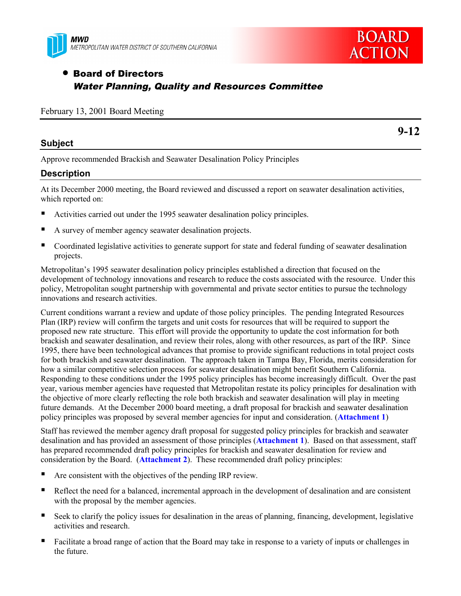



# • Board of Directors Water Planning, Quality and Resources Committee

| February 13, 2001 Board Meeting |  |  |  |  |
|---------------------------------|--|--|--|--|
|---------------------------------|--|--|--|--|

#### **Subject**

**9-12**

Approve recommended Brackish and Seawater Desalination Policy Principles

#### **Description**

At its December 2000 meeting, the Board reviewed and discussed a report on seawater desalination activities, which reported on:

- Activities carried out under the 1995 seawater desalination policy principles.
- ! A survey of member agency seawater desalination projects.
- ! Coordinated legislative activities to generate support for state and federal funding of seawater desalination projects.

Metropolitan's 1995 seawater desalination policy principles established a direction that focused on the development of technology innovations and research to reduce the costs associated with the resource. Under this policy, Metropolitan sought partnership with governmental and private sector entities to pursue the technology innovations and research activities.

Current conditions warrant a review and update of those policy principles. The pending Integrated Resources Plan (IRP) review will confirm the targets and unit costs for resources that will be required to support the proposed new rate structure. This effort will provide the opportunity to update the cost information for both brackish and seawater desalination, and review their roles, along with other resources, as part of the IRP. Since 1995, there have been technological advances that promise to provide significant reductions in total project costs for both brackish and seawater desalination. The approach taken in Tampa Bay, Florida, merits consideration for how a similar competitive selection process for seawater desalination might benefit Southern California. Responding to these conditions under the 1995 policy principles has become increasingly difficult. Over the past year, various member agencies have requested that Metropolitan restate its policy principles for desalination with the objective of more clearly reflecting the role both brackish and seawater desalination will play in meeting future demands. At the December 2000 board meeting, a draft proposal for brackish and seawater desalination policy principles was proposed by several member agencies for input and consideration. (**Attachment 1**)

Staff has reviewed the member agency draft proposal for suggested policy principles for brackish and seawater desalination and has provided an assessment of those principles (**Attachment 1**). Based on that assessment, staff has prepared recommended draft policy principles for brackish and seawater desalination for review and consideration by the Board. (**Attachment 2**). These recommended draft policy principles:

- ! Are consistent with the objectives of the pending IRP review.
- ! Reflect the need for a balanced, incremental approach in the development of desalination and are consistent with the proposal by the member agencies.
- ! Seek to clarify the policy issues for desalination in the areas of planning, financing, development, legislative activities and research.
- ! Facilitate a broad range of action that the Board may take in response to a variety of inputs or challenges in the future.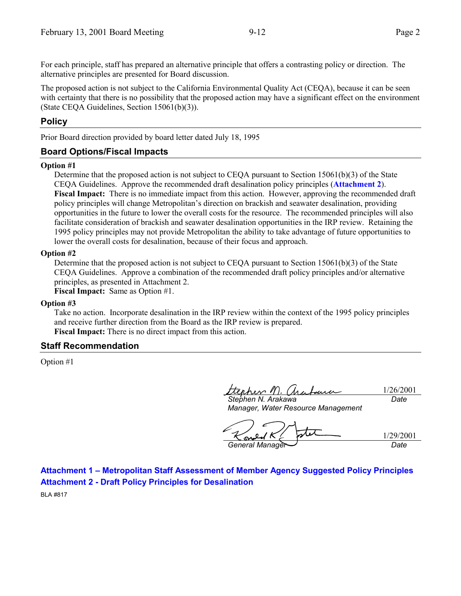For each principle, staff has prepared an alternative principle that offers a contrasting policy or direction. The alternative principles are presented for Board discussion.

The proposed action is not subject to the California Environmental Quality Act (CEQA), because it can be seen with certainty that there is no possibility that the proposed action may have a significant effect on the environment (State CEQA Guidelines, Section 15061(b)(3)).

### **Policy**

Prior Board direction provided by board letter dated July 18, 1995

### **Board Options/Fiscal Impacts**

#### **Option #1**

Determine that the proposed action is not subject to CEQA pursuant to Section 15061(b)(3) of the State CEQA Guidelines. Approve the recommended draft desalination policy principles (**Attachment 2**). **Fiscal Impact:** There is no immediate impact from this action. However, approving the recommended draft policy principles will change Metropolitan's direction on brackish and seawater desalination, providing opportunities in the future to lower the overall costs for the resource. The recommended principles will also facilitate consideration of brackish and seawater desalination opportunities in the IRP review. Retaining the 1995 policy principles may not provide Metropolitan the ability to take advantage of future opportunities to lower the overall costs for desalination, because of their focus and approach.

#### **Option #2**

Determine that the proposed action is not subject to CEQA pursuant to Section 15061(b)(3) of the State CEQA Guidelines. Approve a combination of the recommended draft policy principles and/or alternative principles, as presented in Attachment 2.

**Fiscal Impact:** Same as Option #1.

#### **Option #3**

Take no action. Incorporate desalination in the IRP review within the context of the 1995 policy principles and receive further direction from the Board as the IRP review is prepared. **Fiscal Impact:** There is no direct impact from this action.

#### **Staff Recommendation**

Option #1

ttenher M. 1/26/2001 <u>faue</u> *Date*

*Stephen N. Arakawa Manager, Water Resource Management*

1/29/2001 <u>ane</u> *General Manager Date*

**Attachment 1 – Metropolitan Staff Assessment of Member Agency Suggested Policy Principles Attachment 2 - Draft Policy Principles for Desalination**

BLA #817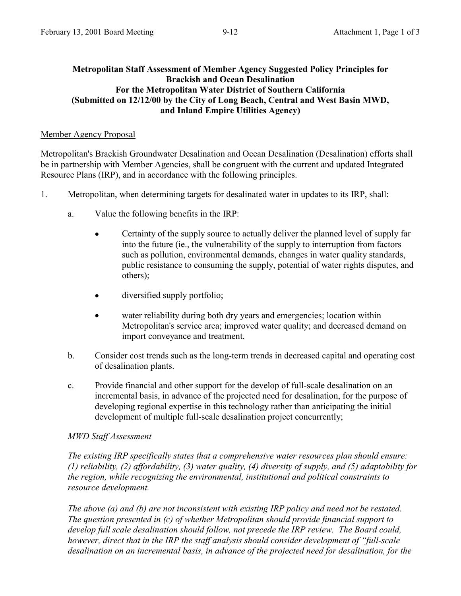#### **Metropolitan Staff Assessment of Member Agency Suggested Policy Principles for Brackish and Ocean Desalination For the Metropolitan Water District of Southern California (Submitted on 12/12/00 by the City of Long Beach, Central and West Basin MWD, and Inland Empire Utilities Agency)**

#### Member Agency Proposal

Metropolitan's Brackish Groundwater Desalination and Ocean Desalination (Desalination) efforts shall be in partnership with Member Agencies, shall be congruent with the current and updated Integrated Resource Plans (IRP), and in accordance with the following principles.

- 1. Metropolitan, when determining targets for desalinated water in updates to its IRP, shall:
	- a. Value the following benefits in the IRP:
		- Certainty of the supply source to actually deliver the planned level of supply far into the future (ie., the vulnerability of the supply to interruption from factors such as pollution, environmental demands, changes in water quality standards, public resistance to consuming the supply, potential of water rights disputes, and others);
		- diversified supply portfolio;
		- water reliability during both dry years and emergencies; location within Metropolitan's service area; improved water quality; and decreased demand on import conveyance and treatment.
	- b. Consider cost trends such as the long-term trends in decreased capital and operating cost of desalination plants.
	- c. Provide financial and other support for the develop of full-scale desalination on an incremental basis, in advance of the projected need for desalination, for the purpose of developing regional expertise in this technology rather than anticipating the initial development of multiple full-scale desalination project concurrently;

### *MWD Staff Assessment*

*The existing IRP specifically states that a comprehensive water resources plan should ensure: (1) reliability, (2) affordability, (3) water quality, (4) diversity of supply, and (5) adaptability for the region, while recognizing the environmental, institutional and political constraints to resource development.*

*The above (a) and (b) are not inconsistent with existing IRP policy and need not be restated. The question presented in (c) of whether Metropolitan should provide financial support to develop full scale desalination should follow, not precede the IRP review. The Board could, however, direct that in the IRP the staff analysis should consider development of "full-scale desalination on an incremental basis, in advance of the projected need for desalination, for the*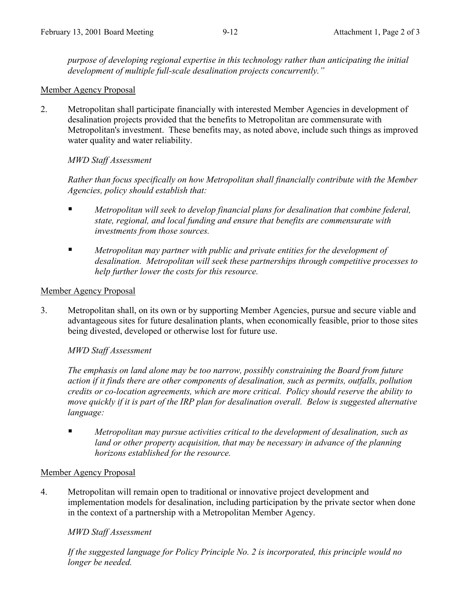*purpose of developing regional expertise in this technology rather than anticipating the initial development of multiple full-scale desalination projects concurrently."*

### Member Agency Proposal

2. Metropolitan shall participate financially with interested Member Agencies in development of desalination projects provided that the benefits to Metropolitan are commensurate with Metropolitan's investment. These benefits may, as noted above, include such things as improved water quality and water reliability.

### *MWD Staff Assessment*

*Rather than focus specifically on how Metropolitan shall financially contribute with the Member Agencies, policy should establish that:*

- ! *Metropolitan will seek to develop financial plans for desalination that combine federal, state, regional, and local funding and ensure that benefits are commensurate with investments from those sources.*
- ! *Metropolitan may partner with public and private entities for the development of desalination. Metropolitan will seek these partnerships through competitive processes to help further lower the costs for this resource.*

### Member Agency Proposal

3. Metropolitan shall, on its own or by supporting Member Agencies, pursue and secure viable and advantageous sites for future desalination plants, when economically feasible, prior to those sites being divested, developed or otherwise lost for future use.

### *MWD Staff Assessment*

*The emphasis on land alone may be too narrow, possibly constraining the Board from future action if it finds there are other components of desalination, such as permits, outfalls, pollution credits or co-location agreements, which are more critical. Policy should reserve the ability to move quickly if it is part of the IRP plan for desalination overall. Below is suggested alternative language:*

! *Metropolitan may pursue activities critical to the development of desalination, such as land or other property acquisition, that may be necessary in advance of the planning horizons established for the resource.*

### Member Agency Proposal

4. Metropolitan will remain open to traditional or innovative project development and implementation models for desalination, including participation by the private sector when done in the context of a partnership with a Metropolitan Member Agency.

### *MWD Staff Assessment*

*If the suggested language for Policy Principle No. 2 is incorporated, this principle would no longer be needed.*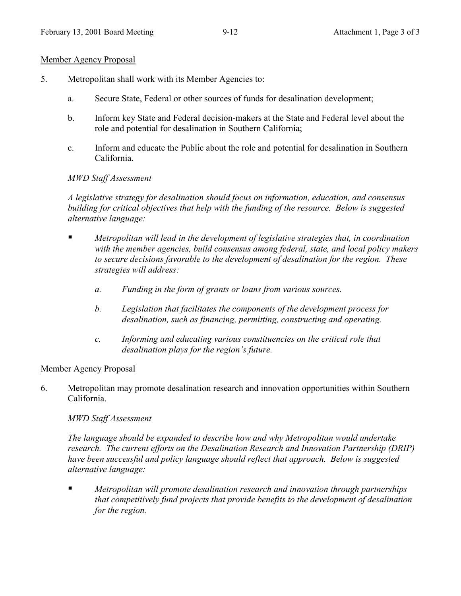#### Member Agency Proposal

- 5. Metropolitan shall work with its Member Agencies to:
	- a. Secure State, Federal or other sources of funds for desalination development;
	- b. Inform key State and Federal decision-makers at the State and Federal level about the role and potential for desalination in Southern California;
	- c. Inform and educate the Public about the role and potential for desalination in Southern California.

### *MWD Staff Assessment*

*A legislative strategy for desalination should focus on information, education, and consensus building for critical objectives that help with the funding of the resource. Below is suggested alternative language:*

- ! *Metropolitan will lead in the development of legislative strategies that, in coordination with the member agencies, build consensus among federal, state, and local policy makers to secure decisions favorable to the development of desalination for the region. These strategies will address:*
	- *a. Funding in the form of grants or loans from various sources.*
	- *b. Legislation that facilitates the components of the development process for desalination, such as financing, permitting, constructing and operating.*
	- *c. Informing and educating various constituencies on the critical role that desalination plays for the region's future.*

### Member Agency Proposal

6. Metropolitan may promote desalination research and innovation opportunities within Southern California.

### *MWD Staff Assessment*

*The language should be expanded to describe how and why Metropolitan would undertake research. The current efforts on the Desalination Research and Innovation Partnership (DRIP) have been successful and policy language should reflect that approach. Below is suggested alternative language:*

! *Metropolitan will promote desalination research and innovation through partnerships that competitively fund projects that provide benefits to the development of desalination for the region.*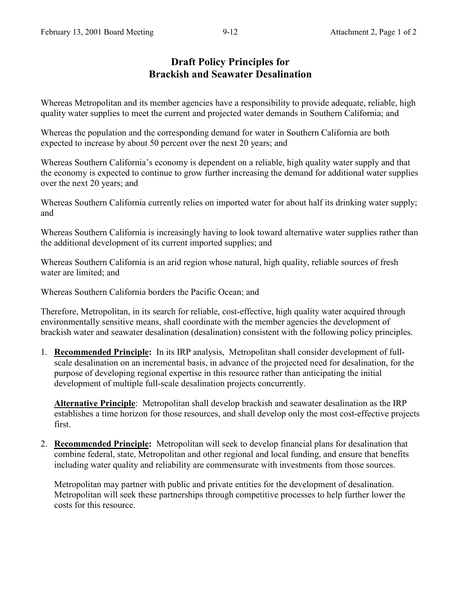## **Draft Policy Principles for Brackish and Seawater Desalination**

Whereas Metropolitan and its member agencies have a responsibility to provide adequate, reliable, high quality water supplies to meet the current and projected water demands in Southern California; and

Whereas the population and the corresponding demand for water in Southern California are both expected to increase by about 50 percent over the next 20 years; and

Whereas Southern California's economy is dependent on a reliable, high quality water supply and that the economy is expected to continue to grow further increasing the demand for additional water supplies over the next 20 years; and

Whereas Southern California currently relies on imported water for about half its drinking water supply; and

Whereas Southern California is increasingly having to look toward alternative water supplies rather than the additional development of its current imported supplies; and

Whereas Southern California is an arid region whose natural, high quality, reliable sources of fresh water are limited; and

Whereas Southern California borders the Pacific Ocean; and

Therefore, Metropolitan, in its search for reliable, cost-effective, high quality water acquired through environmentally sensitive means, shall coordinate with the member agencies the development of brackish water and seawater desalination (desalination) consistent with the following policy principles.

1. **Recommended Principle:** In its IRP analysis, Metropolitan shall consider development of fullscale desalination on an incremental basis, in advance of the projected need for desalination, for the purpose of developing regional expertise in this resource rather than anticipating the initial development of multiple full-scale desalination projects concurrently.

**Alternative Principle**: Metropolitan shall develop brackish and seawater desalination as the IRP establishes a time horizon for those resources, and shall develop only the most cost-effective projects first.

2. **Recommended Principle:** Metropolitan will seek to develop financial plans for desalination that combine federal, state, Metropolitan and other regional and local funding, and ensure that benefits including water quality and reliability are commensurate with investments from those sources.

Metropolitan may partner with public and private entities for the development of desalination. Metropolitan will seek these partnerships through competitive processes to help further lower the costs for this resource.